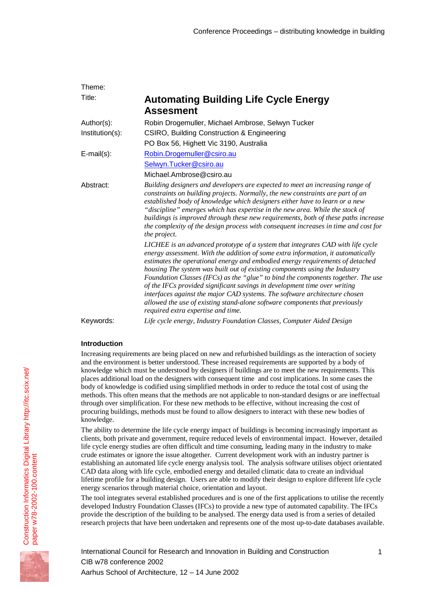| Theme:            |                                                                                                                                                                                                                                                                                                                                                                                                                                                                                                                                                                                                                                                                                                        |
|-------------------|--------------------------------------------------------------------------------------------------------------------------------------------------------------------------------------------------------------------------------------------------------------------------------------------------------------------------------------------------------------------------------------------------------------------------------------------------------------------------------------------------------------------------------------------------------------------------------------------------------------------------------------------------------------------------------------------------------|
| Title:            | <b>Automating Building Life Cycle Energy</b><br><b>Assesment</b>                                                                                                                                                                                                                                                                                                                                                                                                                                                                                                                                                                                                                                       |
| Author(s):        | Robin Drogemuller, Michael Ambrose, Selwyn Tucker                                                                                                                                                                                                                                                                                                                                                                                                                                                                                                                                                                                                                                                      |
| Institution(s):   | CSIRO, Building Construction & Engineering                                                                                                                                                                                                                                                                                                                                                                                                                                                                                                                                                                                                                                                             |
|                   | PO Box 56, Highett Vic 3190, Australia                                                                                                                                                                                                                                                                                                                                                                                                                                                                                                                                                                                                                                                                 |
| $E$ -mail $(s)$ : | Robin. Drogemuller@csiro.au                                                                                                                                                                                                                                                                                                                                                                                                                                                                                                                                                                                                                                                                            |
|                   | Selwyn.Tucker@csiro.au                                                                                                                                                                                                                                                                                                                                                                                                                                                                                                                                                                                                                                                                                 |
|                   | Michael.Ambrose@csiro.au                                                                                                                                                                                                                                                                                                                                                                                                                                                                                                                                                                                                                                                                               |
| Abstract:         | Building designers and developers are expected to meet an increasing range of<br>constraints on building projects. Normally, the new constraints are part of an<br>established body of knowledge which designers either have to learn or a new<br>"discipline" emerges which has expertise in the new area. While the stock of<br>buildings is improved through these new requirements, both of these paths increase<br>the complexity of the design process with consequent increases in time and cost for<br>the project.                                                                                                                                                                            |
|                   | LICHEE is an advanced prototype of a system that integrates CAD with life cycle<br>energy assessment. With the addition of some extra information, it automatically<br>estimates the operational energy and embodied energy requirements of detached<br>housing The system was built out of existing components using the Industry<br>Foundation Classes (IFCs) as the "glue" to bind the components together. The use<br>of the IFCs provided significant savings in development time over writing<br>interfaces against the major CAD systems. The software architecture chosen<br>allowed the use of existing stand-alone software components that previously<br>required extra expertise and time. |
| Keywords:         | Life cycle energy, Industry Foundation Classes, Computer Aided Design                                                                                                                                                                                                                                                                                                                                                                                                                                                                                                                                                                                                                                  |

# **Introduction**

Increasing requirements are being placed on new and refurbished buildings as the interaction of society and the environment is better understood. These increased requirements are supported by a body of knowledge which must be understood by designers if buildings are to meet the new requirements. This places additional load on the designers with consequent time and cost implications. In some cases the body of knowledge is codified using simplified methods in order to reduce the total cost of using the methods. This often means that the methods are not applicable to non-standard designs or are ineffectual through over simplification. For these new methods to be effective, without increasing the cost of procuring buildings, methods must be found to allow designers to interact with these new bodies of knowledge.

The ability to determine the life cycle energy impact of buildings is becoming increasingly important as clients, both private and government, require reduced levels of environmental impact. However, detailed life cycle energy studies are often difficult and time consuming, leading many in the industry to make crude estimates or ignore the issue altogether. Current development work with an industry partner is establishing an automated life cycle energy analysis tool. The analysis software utilises object orientated CAD data along with life cycle, embodied energy and detailed climatic data to create an individual lifetime profile for a building design. Users are able to modify their design to explore different life cycle energy scenarios through material choice, orientation and layout.

The tool integrates several established procedures and is one of the first applications to utilise the recently developed Industry Foundation Classes (IFCs) to provide a new type of automated capability. The IFCs provide the description of the building to be analysed. The energy data used is from a series of detailed research projects that have been undertaken and represents one of the most up-to-date databases available.

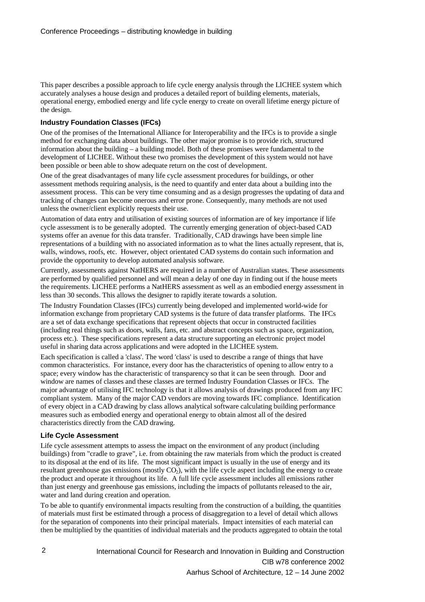This paper describes a possible approach to life cycle energy analysis through the LICHEE system which accurately analyses a house design and produces a detailed report of building elements, materials, operational energy, embodied energy and life cycle energy to create on overall lifetime energy picture of the design.

## **Industry Foundation Classes (IFCs)**

One of the promises of the International Alliance for Interoperability and the IFCs is to provide a single method for exchanging data about buildings. The other major promise is to provide rich, structured information about the building – a building model. Both of these promises were fundamental to the development of LICHEE. Without these two promises the development of this system would not have been possible or been able to show adequate return on the cost of development.

One of the great disadvantages of many life cycle assessment procedures for buildings, or other assessment methods requiring analysis, is the need to quantify and enter data about a building into the assessment process. This can be very time consuming and as a design progresses the updating of data and tracking of changes can become onerous and error prone. Consequently, many methods are not used unless the owner/client explicitly requests their use.

Automation of data entry and utilisation of existing sources of information are of key importance if life cycle assessment is to be generally adopted. The currently emerging generation of object-based CAD systems offer an avenue for this data transfer. Traditionally, CAD drawings have been simple line representations of a building with no associated information as to what the lines actually represent, that is, walls, windows, roofs, etc. However, object orientated CAD systems do contain such information and provide the opportunity to develop automated analysis software.

Currently, assessments against NatHERS are required in a number of Australian states. These assessments are performed by qualified personnel and will mean a delay of one day in finding out if the house meets the requirements. LICHEE performs a NatHERS assessment as well as an embodied energy assessment in less than 30 seconds. This allows the designer to rapidly iterate towards a solution.

The Industry Foundation Classes (IFCs) currently being developed and implemented world-wide for information exchange from proprietary CAD systems is the future of data transfer platforms. The IFCs are a set of data exchange specifications that represent objects that occur in constructed facilities (including real things such as doors, walls, fans, etc. and abstract concepts such as space, organization, process etc.). These specifications represent a data structure supporting an electronic project model useful in sharing data across applications and were adopted in the LICHEE system.

Each specification is called a 'class'. The word 'class' is used to describe a range of things that have common characteristics. For instance, every door has the characteristics of opening to allow entry to a space; every window has the characteristic of transparency so that it can be seen through. Door and window are names of classes and these classes are termed Industry Foundation Classes or IFCs. The major advantage of utilising IFC technology is that it allows analysis of drawings produced from any IFC compliant system. Many of the major CAD vendors are moving towards IFC compliance. Identification of every object in a CAD drawing by class allows analytical software calculating building performance measures such as embodied energy and operational energy to obtain almost all of the desired characteristics directly from the CAD drawing.

### **Life Cycle Assessment**

Life cycle assessment attempts to assess the impact on the environment of any product (including buildings) from "cradle to grave", i.e. from obtaining the raw materials from which the product is created to its disposal at the end of its life. The most significant impact is usually in the use of energy and its resultant greenhouse gas emissions (mostly  $CO<sub>2</sub>$ ), with the life cycle aspect including the energy to create the product and operate it throughout its life. A full life cycle assessment includes all emissions rather than just energy and greenhouse gas emissions, including the impacts of pollutants released to the air, water and land during creation and operation.

To be able to quantify environmental impacts resulting from the construction of a building, the quantities of materials must first be estimated through a process of disaggregation to a level of detail which allows for the separation of components into their principal materials. Impact intensities of each material can then be multiplied by the quantities of individual materials and the products aggregated to obtain the total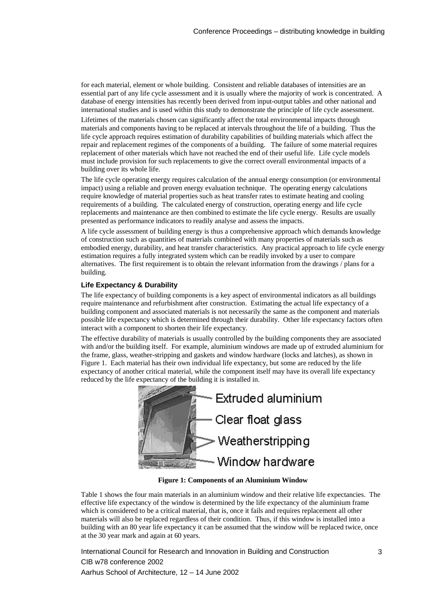for each material, element or whole building. Consistent and reliable databases of intensities are an essential part of any life cycle assessment and it is usually where the majority of work is concentrated. A database of energy intensities has recently been derived from input-output tables and other national and international studies and is used within this study to demonstrate the principle of life cycle assessment.

Lifetimes of the materials chosen can significantly affect the total environmental impacts through materials and components having to be replaced at intervals throughout the life of a building. Thus the life cycle approach requires estimation of durability capabilities of building materials which affect the repair and replacement regimes of the components of a building. The failure of some material requires replacement of other materials which have not reached the end of their useful life. Life cycle models must include provision for such replacements to give the correct overall environmental impacts of a building over its whole life.

The life cycle operating energy requires calculation of the annual energy consumption (or environmental impact) using a reliable and proven energy evaluation technique. The operating energy calculations require knowledge of material properties such as heat transfer rates to estimate heating and cooling requirements of a building. The calculated energy of construction, operating energy and life cycle replacements and maintenance are then combined to estimate the life cycle energy. Results are usually presented as performance indicators to readily analyse and assess the impacts.

A life cycle assessment of building energy is thus a comprehensive approach which demands knowledge of construction such as quantities of materials combined with many properties of materials such as embodied energy, durability, and heat transfer characteristics. Any practical approach to life cycle energy estimation requires a fully integrated system which can be readily invoked by a user to compare alternatives. The first requirement is to obtain the relevant information from the drawings / plans for a building.

## **Life Expectancy & Durability**

The life expectancy of building components is a key aspect of environmental indicators as all buildings require maintenance and refurbishment after construction. Estimating the actual life expectancy of a building component and associated materials is not necessarily the same as the component and materials possible life expectancy which is determined through their durability. Other life expectancy factors often interact with a component to shorten their life expectancy.

The effective durability of materials is usually controlled by the building components they are associated with and/or the building itself. For example, aluminium windows are made up of extruded aluminium for the frame, glass, weather-stripping and gaskets and window hardware (locks and latches), as shown in Figure 1. Each material has their own individual life expectancy, but some are reduced by the life expectancy of another critical material, while the component itself may have its overall life expectancy reduced by the life expectancy of the building it is installed in.



**Figure 1: Components of an Aluminium Window**

Table 1 shows the four main materials in an aluminium window and their relative life expectancies. The effective life expectancy of the window is determined by the life expectancy of the aluminium frame which is considered to be a critical material, that is, once it fails and requires replacement all other materials will also be replaced regardless of their condition. Thus, if this window is installed into a building with an 80 year life expectancy it can be assumed that the window will be replaced twice, once at the 30 year mark and again at 60 years.

International Council for Research and Innovation in Building and Construction CIB w78 conference 2002 Aarhus School of Architecture, 12 – 14 June 2002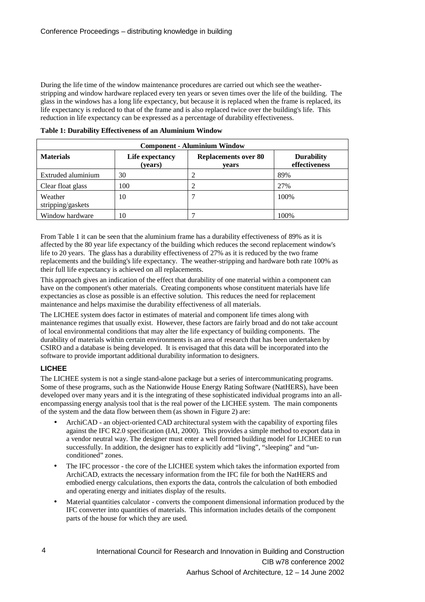During the life time of the window maintenance procedures are carried out which see the weatherstripping and window hardware replaced every ten years or seven times over the life of the building. The glass in the windows has a long life expectancy, but because it is replaced when the frame is replaced, its life expectancy is reduced to that of the frame and is also replaced twice over the building's life. This reduction in life expectancy can be expressed as a percentage of durability effectiveness.

| <b>Component - Aluminium Window</b> |                            |                                      |                                    |  |
|-------------------------------------|----------------------------|--------------------------------------|------------------------------------|--|
| <b>Materials</b>                    | Life expectancy<br>(years) | <b>Replacements over 80</b><br>vears | <b>Durability</b><br>effectiveness |  |
| Extruded aluminium                  | 30                         | ာ                                    | 89%                                |  |
| Clear float glass                   | 100                        |                                      | 27%                                |  |
| Weather<br>stripping/gaskets        | 10                         |                                      | 100%                               |  |
| Window hardware                     | 10                         |                                      | 100%                               |  |

**Table 1: Durability Effectiveness of an Aluminium Window**

From Table 1 it can be seen that the aluminium frame has a durability effectiveness of 89% as it is affected by the 80 year life expectancy of the building which reduces the second replacement window's life to 20 years. The glass has a durability effectiveness of 27% as it is reduced by the two frame replacements and the building's life expectancy. The weather-stripping and hardware both rate 100% as their full life expectancy is achieved on all replacements.

This approach gives an indication of the effect that durability of one material within a component can have on the component's other materials. Creating components whose constituent materials have life expectancies as close as possible is an effective solution. This reduces the need for replacement maintenance and helps maximise the durability effectiveness of all materials.

The LICHEE system does factor in estimates of material and component life times along with maintenance regimes that usually exist. However, these factors are fairly broad and do not take account of local environmental conditions that may alter the life expectancy of building components. The durability of materials within certain environments is an area of research that has been undertaken by CSIRO and a database is being developed. It is envisaged that this data will be incorporated into the software to provide important additional durability information to designers.

## **LICHEE**

The LICHEE system is not a single stand-alone package but a series of intercommunicating programs. Some of these programs, such as the Nationwide House Energy Rating Software (NatHERS), have been developed over many years and it is the integrating of these sophisticated individual programs into an allencompassing energy analysis tool that is the real power of the LICHEE system. The main components of the system and the data flow between them (as shown in Figure 2) are:

- ArchiCAD an object-oriented CAD architectural system with the capability of exporting files against the IFC R2.0 specification (IAI, 2000). This provides a simple method to export data in a vendor neutral way. The designer must enter a well formed building model for LICHEE to run successfully. In addition, the designer has to explicitly add "living", "sleeping" and "unconditioned" zones.
- The IFC processor the core of the LICHEE system which takes the information exported from ArchiCAD, extracts the necessary information from the IFC file for both the NatHERS and embodied energy calculations, then exports the data, controls the calculation of both embodied and operating energy and initiates display of the results.
- Material quantities calculator converts the component dimensional information produced by the IFC converter into quantities of materials. This information includes details of the component parts of the house for which they are used.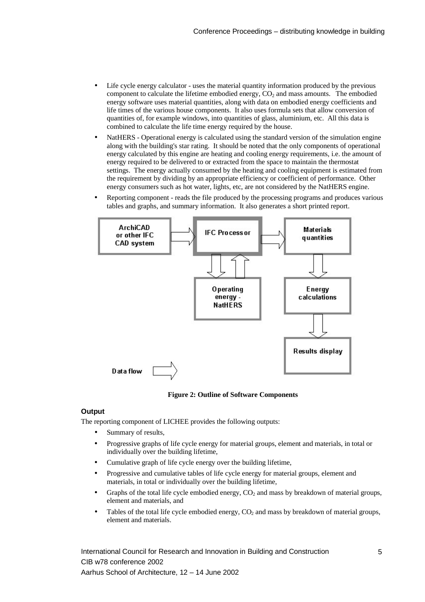- Life cycle energy calculator uses the material quantity information produced by the previous component to calculate the lifetime embodied energy,  $CO<sub>2</sub>$  and mass amounts. The embodied energy software uses material quantities, along with data on embodied energy coefficients and life times of the various house components. It also uses formula sets that allow conversion of quantities of, for example windows, into quantities of glass, aluminium, etc. All this data is combined to calculate the life time energy required by the house.
- NatHERS Operational energy is calculated using the standard version of the simulation engine along with the building's star rating. It should be noted that the only components of operational energy calculated by this engine are heating and cooling energy requirements, i.e. the amount of energy required to be delivered to or extracted from the space to maintain the thermostat settings. The energy actually consumed by the heating and cooling equipment is estimated from the requirement by dividing by an appropriate efficiency or coefficient of performance. Other energy consumers such as hot water, lights, etc, are not considered by the NatHERS engine.
- Reporting component reads the file produced by the processing programs and produces various tables and graphs, and summary information. It also generates a short printed report.



**Figure 2: Outline of Software Components**

### **Output**

The reporting component of LICHEE provides the following outputs:

- Summary of results,
- Progressive graphs of life cycle energy for material groups, element and materials, in total or individually over the building lifetime,
- Cumulative graph of life cycle energy over the building lifetime,
- Progressive and cumulative tables of life cycle energy for material groups, element and materials, in total or individually over the building lifetime,
- Graphs of the total life cycle embodied energy,  $CO<sub>2</sub>$  and mass by breakdown of material groups, element and materials, and
- Tables of the total life cycle embodied energy,  $CO<sub>2</sub>$  and mass by breakdown of material groups, element and materials.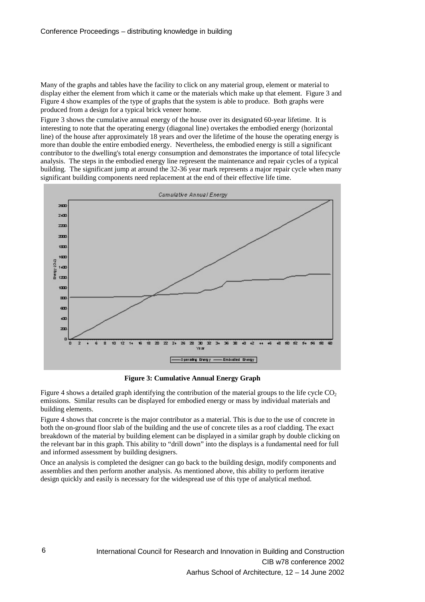Many of the graphs and tables have the facility to click on any material group, element or material to display either the element from which it came or the materials which make up that element. Figure 3 and Figure 4 show examples of the type of graphs that the system is able to produce. Both graphs were produced from a design for a typical brick veneer home.

Figure 3 shows the cumulative annual energy of the house over its designated 60-year lifetime. It is interesting to note that the operating energy (diagonal line) overtakes the embodied energy (horizontal line) of the house after approximately 18 years and over the lifetime of the house the operating energy is more than double the entire embodied energy. Nevertheless, the embodied energy is still a significant contributor to the dwelling's total energy consumption and demonstrates the importance of total lifecycle analysis. The steps in the embodied energy line represent the maintenance and repair cycles of a typical building. The significant jump at around the 32-36 year mark represents a major repair cycle when many significant building components need replacement at the end of their effective life time.



**Figure 3: Cumulative Annual Energy Graph**

Figure 4 shows a detailed graph identifying the contribution of the material groups to the life cycle  $CO<sub>2</sub>$ emissions. Similar results can be displayed for embodied energy or mass by individual materials and building elements.

Figure 4 shows that concrete is the major contributor as a material. This is due to the use of concrete in both the on-ground floor slab of the building and the use of concrete tiles as a roof cladding. The exact breakdown of the material by building element can be displayed in a similar graph by double clicking on the relevant bar in this graph. This ability to "drill down" into the displays is a fundamental need for full and informed assessment by building designers.

Once an analysis is completed the designer can go back to the building design, modify components and assemblies and then perform another analysis. As mentioned above, this ability to perform iterative design quickly and easily is necessary for the widespread use of this type of analytical method.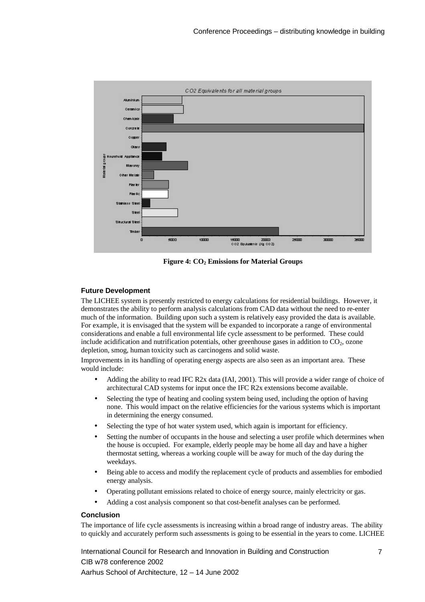

Figure 4:  $CO<sub>2</sub>$  Emissions for Material Groups

## **Future Development**

The LICHEE system is presently restricted to energy calculations for residential buildings. However, it demonstrates the ability to perform analysis calculations from CAD data without the need to re-enter much of the information. Building upon such a system is relatively easy provided the data is available. For example, it is envisaged that the system will be expanded to incorporate a range of environmental considerations and enable a full environmental life cycle assessment to be performed. These could include acidification and nutrification potentials, other greenhouse gases in addition to  $CO<sub>2</sub>$ , ozone depletion, smog, human toxicity such as carcinogens and solid waste.

Improvements in its handling of operating energy aspects are also seen as an important area. These would include:

- Adding the ability to read IFC R2x data (IAI, 2001). This will provide a wider range of choice of architectural CAD systems for input once the IFC R2x extensions become available.
- Selecting the type of heating and cooling system being used, including the option of having none. This would impact on the relative efficiencies for the various systems which is important in determining the energy consumed.
- Selecting the type of hot water system used, which again is important for efficiency.
- Setting the number of occupants in the house and selecting a user profile which determines when the house is occupied. For example, elderly people may be home all day and have a higher thermostat setting, whereas a working couple will be away for much of the day during the weekdays.
- Being able to access and modify the replacement cycle of products and assemblies for embodied energy analysis.
- Operating pollutant emissions related to choice of energy source, mainly electricity or gas.
- Adding a cost analysis component so that cost-benefit analyses can be performed.

### **Conclusion**

The importance of life cycle assessments is increasing within a broad range of industry areas. The ability to quickly and accurately perform such assessments is going to be essential in the years to come. LICHEE

International Council for Research and Innovation in Building and Construction CIB w78 conference 2002 Aarhus School of Architecture, 12 – 14 June 2002